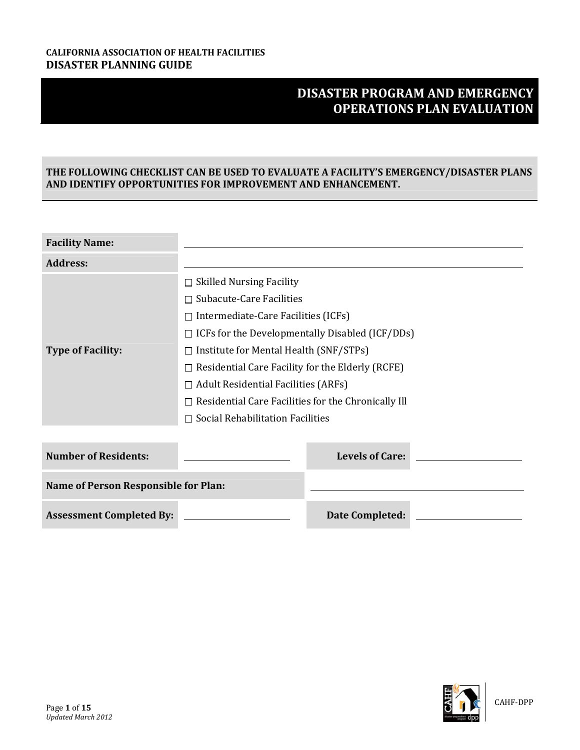# **DISASTER PROGRAM AND EMERGENCY OPERATIONS PLAN EVALUATION**

## **THE FOLLOWING CHECKLIST CAN BE USED TO EVALUATE A FACILITY'S EMERGENCY/DISASTER PLANS AND IDENTIFY OPPORTUNITIES FOR IMPROVEMENT AND ENHANCEMENT.**

| <b>Facility Name:</b>                       |                                                            |  |  |
|---------------------------------------------|------------------------------------------------------------|--|--|
| <b>Address:</b>                             |                                                            |  |  |
|                                             | $\Box$ Skilled Nursing Facility                            |  |  |
|                                             | $\Box$ Subacute-Care Facilities                            |  |  |
|                                             | $\Box$ Intermediate-Care Facilities (ICFs)                 |  |  |
|                                             | $\Box$ ICFs for the Developmentally Disabled (ICF/DDs)     |  |  |
| <b>Type of Facility:</b>                    | $\Box$ Institute for Mental Health (SNF/STPs)              |  |  |
|                                             | $\Box$ Residential Care Facility for the Elderly (RCFE)    |  |  |
|                                             | $\Box$ Adult Residential Facilities (ARFs)                 |  |  |
|                                             | $\Box$ Residential Care Facilities for the Chronically Ill |  |  |
|                                             | $\Box$ Social Rehabilitation Facilities                    |  |  |
|                                             |                                                            |  |  |
| <b>Number of Residents:</b>                 | <b>Levels of Care:</b>                                     |  |  |
| <b>Name of Person Responsible for Plan:</b> |                                                            |  |  |
| <b>Assessment Completed By:</b>             | Date Completed:                                            |  |  |

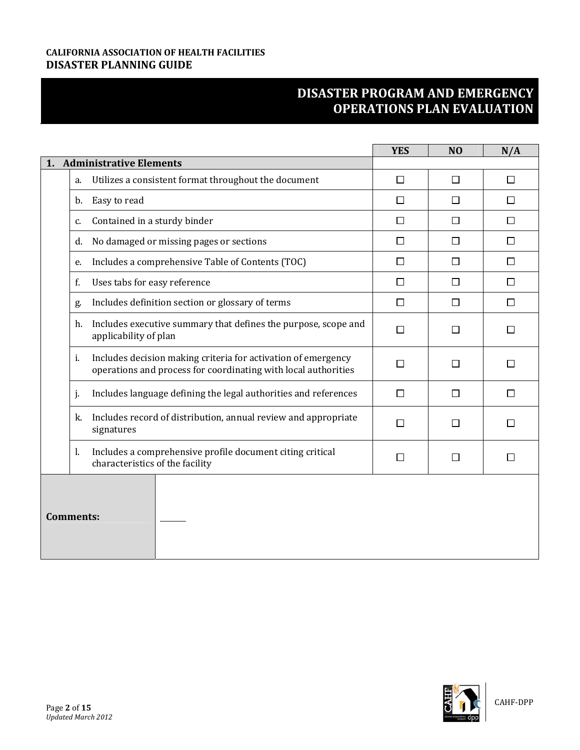|                  |                                                                                                                                 | <b>YES</b> | N <sub>O</sub> | N/A    |
|------------------|---------------------------------------------------------------------------------------------------------------------------------|------------|----------------|--------|
|                  | 1. Administrative Elements                                                                                                      |            |                |        |
| a.               | Utilizes a consistent format throughout the document                                                                            | $\Box$     | П              | $\Box$ |
| b.               | Easy to read                                                                                                                    | $\Box$     | П              | $\Box$ |
| c.               | Contained in a sturdy binder                                                                                                    | $\Box$     | П              | $\Box$ |
| d.               | No damaged or missing pages or sections                                                                                         | П          | П              | П      |
| e.               | Includes a comprehensive Table of Contents (TOC)                                                                                | $\Box$     | П              | $\Box$ |
| f.               | Uses tabs for easy reference                                                                                                    | $\Box$     | П              | $\Box$ |
| g.               | Includes definition section or glossary of terms                                                                                | $\Box$     | $\Box$         | $\Box$ |
| h.               | Includes executive summary that defines the purpose, scope and<br>applicability of plan                                         | $\Box$     | П              | $\Box$ |
| i.               | Includes decision making criteria for activation of emergency<br>operations and process for coordinating with local authorities | П          | П              | П      |
| j.               | Includes language defining the legal authorities and references                                                                 | $\Box$     | П              | П      |
| k.               | Includes record of distribution, annual review and appropriate<br>signatures                                                    | П          | $\Box$         | П      |
| 1.               | Includes a comprehensive profile document citing critical<br>characteristics of the facility                                    | П          | П              | П      |
| <b>Comments:</b> |                                                                                                                                 |            |                |        |

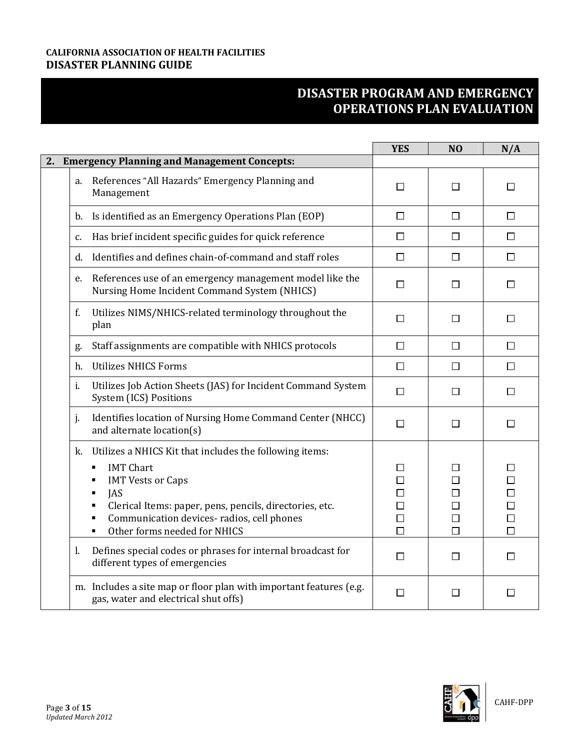|                                                                                                                                                                                                                                                                                         | <b>YES</b>                                     | N <sub>O</sub>   | N/A                                                 |
|-----------------------------------------------------------------------------------------------------------------------------------------------------------------------------------------------------------------------------------------------------------------------------------------|------------------------------------------------|------------------|-----------------------------------------------------|
| 2. Emergency Planning and Management Concepts:                                                                                                                                                                                                                                          |                                                |                  |                                                     |
| References "All Hazards" Emergency Planning and<br>a.<br>Management                                                                                                                                                                                                                     | $\Box$                                         | П                | П                                                   |
| b. Is identified as an Emergency Operations Plan (EOP)                                                                                                                                                                                                                                  | $\Box$                                         | $\Box$           | $\Box$                                              |
| Has brief incident specific guides for quick reference<br>c.                                                                                                                                                                                                                            | $\Box$                                         | □                | □                                                   |
| Identifies and defines chain-of-command and staff roles<br>d.                                                                                                                                                                                                                           | $\Box$                                         | $\Box$           | □                                                   |
| References use of an emergency management model like the<br>e.<br>Nursing Home Incident Command System (NHICS)                                                                                                                                                                          | □                                              | П                | □                                                   |
| Utilizes NIMS/NHICS-related terminology throughout the<br>f.<br>plan                                                                                                                                                                                                                    | $\Box$                                         | □                | $\Box$                                              |
| Staff assignments are compatible with NHICS protocols<br>g.                                                                                                                                                                                                                             | $\Box$                                         | □                | □                                                   |
| <b>Utilizes NHICS Forms</b><br>h.                                                                                                                                                                                                                                                       | $\Box$                                         | $\Box$           | $\Box$                                              |
| Utilizes Job Action Sheets (JAS) for Incident Command System<br>i.<br>System (ICS) Positions                                                                                                                                                                                            | $\Box$                                         | □                | $\Box$                                              |
| Identifies location of Nursing Home Command Center (NHCC)<br>j.<br>and alternate location(s)                                                                                                                                                                                            | $\Box$                                         | П                | П                                                   |
| Utilizes a NHICS Kit that includes the following items:<br>k.<br><b>IMT Chart</b><br>٠<br><b>IMT Vests or Caps</b><br>٠<br><b>JAS</b><br>٠<br>Clerical Items: paper, pens, pencils, directories, etc.<br>Communication devices-radios, cell phones<br>Other forms needed for NHICS<br>٠ | П<br>$\Box$<br>П<br>$\Box$<br>$\Box$<br>$\Box$ | П<br>□<br>$\Box$ | □<br>$\Box$<br>$\Box$<br>$\Box$<br>$\Box$<br>$\Box$ |
| Defines special codes or phrases for internal broadcast for<br>1.<br>different types of emergencies                                                                                                                                                                                     | □                                              | П                | П                                                   |
| m. Includes a site map or floor plan with important features (e.g.<br>gas, water and electrical shut offs)                                                                                                                                                                              | □                                              | П                | □                                                   |

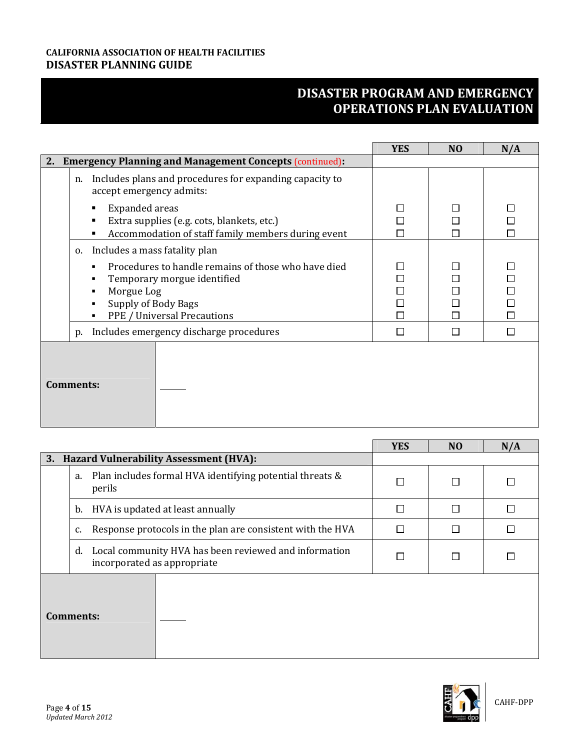|                                                                                                                                                             | <b>YES</b> | N <sub>O</sub> | N/A                                  |
|-------------------------------------------------------------------------------------------------------------------------------------------------------------|------------|----------------|--------------------------------------|
| <b>Emergency Planning and Management Concepts (continued):</b><br>2.                                                                                        |            |                |                                      |
| Includes plans and procedures for expanding capacity to<br>n.<br>accept emergency admits:                                                                   |            |                |                                      |
| <b>Expanded</b> areas<br>٠<br>Extra supplies (e.g. cots, blankets, etc.)<br>Accommodation of staff family members during event                              | П          |                | П                                    |
| Includes a mass fatality plan<br>0.                                                                                                                         |            |                |                                      |
| Procedures to handle remains of those who have died<br>Temporary morgue identified<br>Morgue Log<br>٠<br>Supply of Body Bags<br>PPE / Universal Precautions | П          |                | $\Box$<br>$\Box$<br>$\Box$<br>$\Box$ |
| Includes emergency discharge procedures<br>p.                                                                                                               | П          |                | $\Box$                               |
| <b>Comments:</b>                                                                                                                                            |            |                |                                      |

|           |    |                                                                                      | <b>YES</b> | N <sub>O</sub> | N/A    |
|-----------|----|--------------------------------------------------------------------------------------|------------|----------------|--------|
|           |    | 3. Hazard Vulnerability Assessment (HVA):                                            |            |                |        |
|           | a. | Plan includes formal HVA identifying potential threats &<br>perils                   | П          |                | Г      |
|           |    | b. HVA is updated at least annually                                                  | П          |                | П      |
|           | c. | Response protocols in the plan are consistent with the HVA                           |            |                | $\Box$ |
|           | d. | Local community HVA has been reviewed and information<br>incorporated as appropriate |            |                |        |
| Comments: |    |                                                                                      |            |                |        |

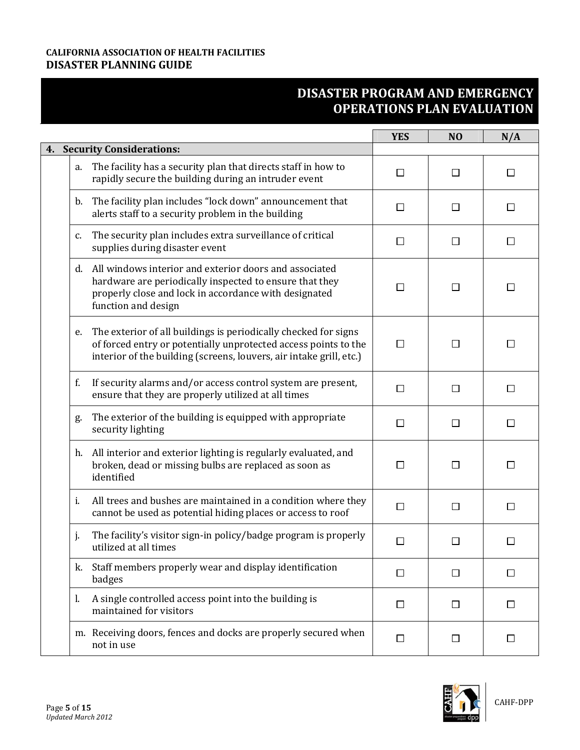|                                                                                                                                                                                                                 | <b>YES</b> | N <sub>O</sub> | N/A                         |
|-----------------------------------------------------------------------------------------------------------------------------------------------------------------------------------------------------------------|------------|----------------|-----------------------------|
| 4. Security Considerations:                                                                                                                                                                                     |            |                |                             |
| The facility has a security plan that directs staff in how to<br>a.<br>rapidly secure the building during an intruder event                                                                                     | $\Box$     | $\Box$         | $\Box$                      |
| The facility plan includes "lock down" announcement that<br>b.<br>alerts staff to a security problem in the building                                                                                            | $\Box$     | □              | □                           |
| The security plan includes extra surveillance of critical<br>c.<br>supplies during disaster event                                                                                                               | $\Box$     | $\Box$         | □                           |
| All windows interior and exterior doors and associated<br>d.<br>hardware are periodically inspected to ensure that they<br>properly close and lock in accordance with designated<br>function and design         | П          |                | □                           |
| The exterior of all buildings is periodically checked for signs<br>e.<br>of forced entry or potentially unprotected access points to the<br>interior of the building (screens, louvers, air intake grill, etc.) | П          |                | $\mathsf{L}$                |
| If security alarms and/or access control system are present,<br>f.<br>ensure that they are properly utilized at all times                                                                                       | $\Box$     | $\Box$         | $\Box$                      |
| The exterior of the building is equipped with appropriate<br>g.<br>security lighting                                                                                                                            | $\Box$     | □              | □                           |
| All interior and exterior lighting is regularly evaluated, and<br>h.<br>broken, dead or missing bulbs are replaced as soon as<br>identified                                                                     | $\Box$     | $\Box$         | □                           |
| All trees and bushes are maintained in a condition where they<br>i.<br>cannot be used as potential hiding places or access to roof                                                                              | $\Box$     | □              | □                           |
| The facility's visitor sign-in policy/badge program is properly<br>j.<br>utilized at all times                                                                                                                  | $\Box$     | П              | $\mathcal{L}_{\mathcal{A}}$ |
| Staff members properly wear and display identification<br>k.<br>badges                                                                                                                                          | $\Box$     | $\Box$         | $\Box$                      |
| A single controlled access point into the building is<br>1.<br>maintained for visitors                                                                                                                          | $\Box$     | $\Box$         | □                           |
| m. Receiving doors, fences and docks are properly secured when<br>not in use                                                                                                                                    | $\Box$     | □              | □                           |

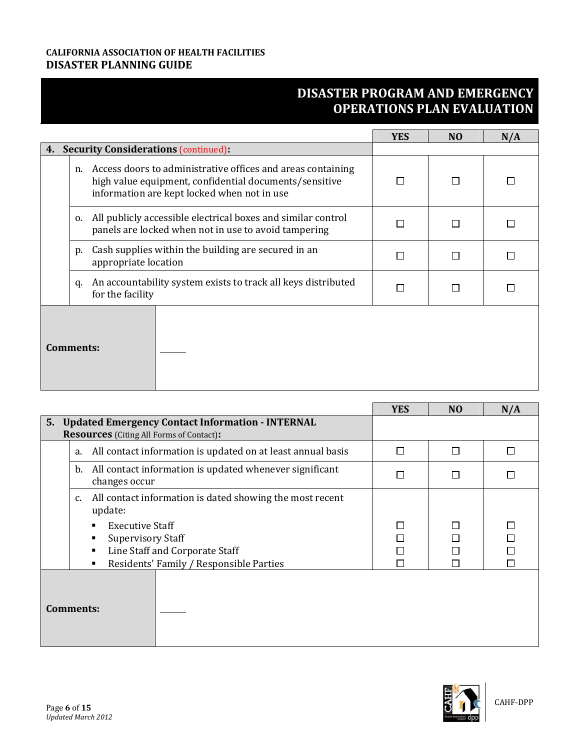|    |                                                                                                                                                                            | <b>YES</b> | N <sub>O</sub> | N/A |
|----|----------------------------------------------------------------------------------------------------------------------------------------------------------------------------|------------|----------------|-----|
| 4. | <b>Security Considerations (continued):</b>                                                                                                                                |            |                |     |
|    | Access doors to administrative offices and areas containing<br>n.<br>high value equipment, confidential documents/sensitive<br>information are kept locked when not in use |            |                |     |
|    | All publicly accessible electrical boxes and similar control<br>0.<br>panels are locked when not in use to avoid tampering                                                 |            |                |     |
|    | Cash supplies within the building are secured in an<br>p.<br>appropriate location                                                                                          |            |                |     |
|    | An accountability system exists to track all keys distributed<br>q.<br>for the facility                                                                                    |            |                |     |
|    | Comments:                                                                                                                                                                  |            |                |     |

|                                                                                                                                      | <b>YES</b> | N <sub>O</sub> | N/A |
|--------------------------------------------------------------------------------------------------------------------------------------|------------|----------------|-----|
| 5. Updated Emergency Contact Information - INTERNAL<br><b>Resources</b> (Citing All Forms of Contact):                               |            |                |     |
| All contact information is updated on at least annual basis<br>a.                                                                    | П          | П              |     |
| All contact information is updated whenever significant<br>b.<br>changes occur                                                       | П          |                |     |
| All contact information is dated showing the most recent<br>c.<br>update:                                                            |            |                |     |
| <b>Executive Staff</b><br><b>Supervisory Staff</b><br>Line Staff and Corporate Staff<br>Residents' Family / Responsible Parties<br>٠ |            |                |     |
| <b>Comments:</b>                                                                                                                     |            |                |     |

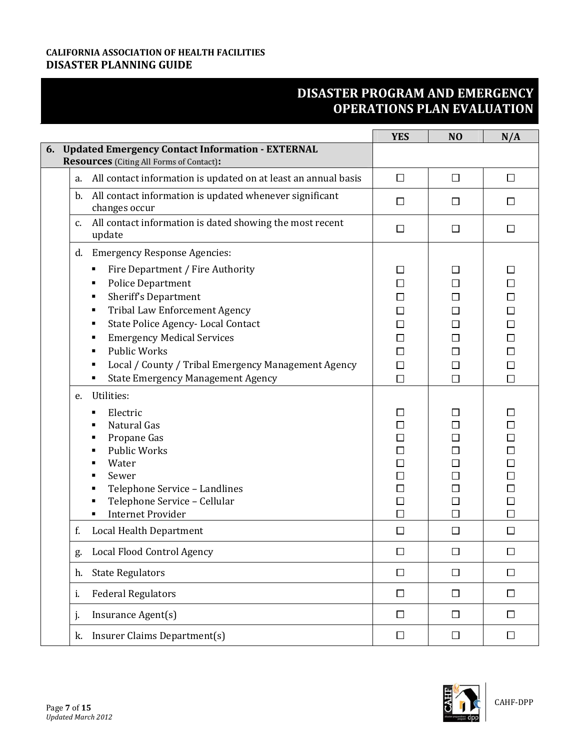|    |                                                                                                                                                                                                                                                                                                                                                                                                            | <b>YES</b>                                                                        | N <sub>O</sub>                                                      | N/A                                                                                    |
|----|------------------------------------------------------------------------------------------------------------------------------------------------------------------------------------------------------------------------------------------------------------------------------------------------------------------------------------------------------------------------------------------------------------|-----------------------------------------------------------------------------------|---------------------------------------------------------------------|----------------------------------------------------------------------------------------|
|    | 6. Updated Emergency Contact Information - EXTERNAL<br><b>Resources</b> (Citing All Forms of Contact):                                                                                                                                                                                                                                                                                                     |                                                                                   |                                                                     |                                                                                        |
| a. | All contact information is updated on at least an annual basis                                                                                                                                                                                                                                                                                                                                             | $\Box$                                                                            | □                                                                   | $\Box$                                                                                 |
| b. | All contact information is updated whenever significant<br>changes occur                                                                                                                                                                                                                                                                                                                                   | $\Box$                                                                            | $\Box$                                                              | □                                                                                      |
| c. | All contact information is dated showing the most recent<br>update                                                                                                                                                                                                                                                                                                                                         | $\Box$                                                                            | □                                                                   | $\Box$                                                                                 |
| d. | <b>Emergency Response Agencies:</b><br>Fire Department / Fire Authority<br>٠<br><b>Police Department</b><br>٠<br>Sheriff's Department<br>٠<br><b>Tribal Law Enforcement Agency</b><br>٠<br>State Police Agency-Local Contact<br>٠<br><b>Emergency Medical Services</b><br>٠<br><b>Public Works</b><br>Local / County / Tribal Emergency Management Agency<br><b>State Emergency Management Agency</b><br>٠ | $\Box$<br>□<br>$\Box$<br>□<br>$\Box$<br>$\Box$<br>$\Box$<br>$\Box$<br>$\Box$      | $\mathsf{L}$<br>П<br>П<br>П<br>$\Box$<br>П<br>$\Box$<br>□<br>$\Box$ | $\Box$<br>$\Box$<br>$\Box$<br>$\Box$<br>$\Box$<br>$\Box$<br>$\Box$<br>$\Box$<br>$\Box$ |
| e. | Utilities:<br>Electric<br>٠<br>Natural Gas<br>Propane Gas<br>٠<br><b>Public Works</b><br>Water<br>Sewer<br>Telephone Service - Landlines<br>Telephone Service - Cellular<br><b>Internet Provider</b><br>٠                                                                                                                                                                                                  | $\Box$<br>$\Box$<br>$\Box$<br>$\Box$<br>$\Box$<br>$\Box$<br>□<br>$\Box$<br>$\Box$ | □<br>□<br>$\Box$<br>□<br>⊔<br>$\Box$<br>$\Box$                      | $\Box$<br>$\Box$<br>$\Box$<br>$\Box$<br>$\Box$<br>$\Box$<br>$\Box$<br>$\Box$<br>$\Box$ |
| f. | Local Health Department                                                                                                                                                                                                                                                                                                                                                                                    | $\Box$                                                                            | $\Box$                                                              | $\Box$                                                                                 |
| g. | Local Flood Control Agency                                                                                                                                                                                                                                                                                                                                                                                 | $\Box$                                                                            | П                                                                   | $\Box$                                                                                 |
| h. | <b>State Regulators</b>                                                                                                                                                                                                                                                                                                                                                                                    | $\Box$                                                                            | $\Box$                                                              | $\Box$                                                                                 |
| i. | <b>Federal Regulators</b>                                                                                                                                                                                                                                                                                                                                                                                  | $\Box$                                                                            | $\Box$                                                              | $\Box$                                                                                 |
| j. | Insurance Agent(s)                                                                                                                                                                                                                                                                                                                                                                                         | $\Box$                                                                            | $\Box$                                                              | $\Box$                                                                                 |
| k. | Insurer Claims Department(s)                                                                                                                                                                                                                                                                                                                                                                               | $\Box$                                                                            | $\Box$                                                              | $\Box$                                                                                 |

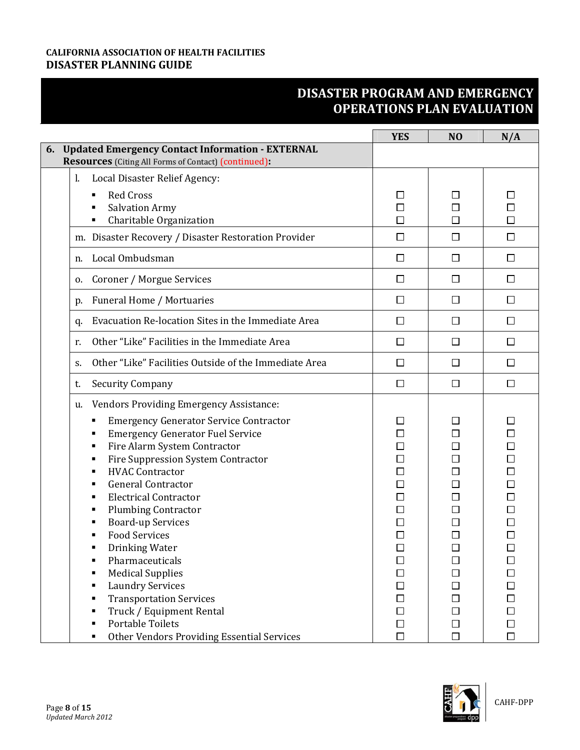|                                                                                                                              | <b>YES</b>       | N <sub>O</sub>   | N/A              |
|------------------------------------------------------------------------------------------------------------------------------|------------------|------------------|------------------|
| <b>Updated Emergency Contact Information - EXTERNAL</b><br>6.<br><b>Resources</b> (Citing All Forms of Contact) (continued): |                  |                  |                  |
| $\mathbf{l}$ .<br>Local Disaster Relief Agency:                                                                              |                  |                  |                  |
| <b>Red Cross</b><br>٠                                                                                                        | $\mathsf{L}$     | ΙI               | $\mathbf{L}$     |
| <b>Salvation Army</b>                                                                                                        | □                | $\Box$           | □                |
| Charitable Organization<br>٠                                                                                                 | П                | $\Box$           | □                |
| m. Disaster Recovery / Disaster Restoration Provider                                                                         | $\Box$           | $\Box$           | □                |
| Local Ombudsman<br>n.                                                                                                        | $\Box$           | $\Box$           | □                |
| Coroner / Morgue Services<br>0.                                                                                              | $\Box$           | $\Box$           | □                |
| Funeral Home / Mortuaries<br>p.                                                                                              | $\Box$           | $\Box$           | $\Box$           |
| Evacuation Re-location Sites in the Immediate Area<br>q.                                                                     | $\Box$           | $\Box$           | $\Box$           |
| Other "Like" Facilities in the Immediate Area<br>r.                                                                          | $\Box$           | $\Box$           | □                |
| Other "Like" Facilities Outside of the Immediate Area<br>S.                                                                  | $\Box$           | $\Box$           | □                |
| <b>Security Company</b><br>t.                                                                                                | $\Box$           | $\Box$           | $\Box$           |
| <b>Vendors Providing Emergency Assistance:</b><br>u.                                                                         |                  |                  |                  |
| <b>Emergency Generator Service Contractor</b>                                                                                |                  |                  |                  |
| <b>Emergency Generator Fuel Service</b><br>٠                                                                                 | □                |                  |                  |
| Fire Alarm System Contractor<br>٠                                                                                            | $\Box$           |                  |                  |
| Fire Suppression System Contractor<br>٠                                                                                      | □                | П                | $\Box$           |
| <b>HVAC Contractor</b>                                                                                                       | $\Box$           | $\Box$           | $\Box$           |
| <b>General Contractor</b><br>٠                                                                                               | $\Box$           | П                | $\Box$           |
| <b>Electrical Contractor</b>                                                                                                 | $\Box$           |                  |                  |
| <b>Plumbing Contractor</b>                                                                                                   | $\Box$           | $\mathcal{L}$    |                  |
| <b>Board-up Services</b>                                                                                                     | □                | П                |                  |
| <b>Food Services</b>                                                                                                         |                  |                  |                  |
| Drinking Water                                                                                                               | $\Box$           | $\Box$           | $\Box$           |
| Pharmaceuticals                                                                                                              | $\Box$           | □                | □                |
| <b>Medical Supplies</b>                                                                                                      | $\Box$           | П                | П                |
| <b>Laundry Services</b><br>٠                                                                                                 | $\Box$           | $\Box$           | $\Box$           |
| <b>Transportation Services</b><br>٠                                                                                          | $\Box$           | □                |                  |
| Truck / Equipment Rental                                                                                                     | $\Box$           | □                | $\Box$           |
| <b>Portable Toilets</b>                                                                                                      | $\Box$<br>$\Box$ | $\Box$<br>$\Box$ | $\Box$<br>$\Box$ |
| <b>Other Vendors Providing Essential Services</b>                                                                            |                  |                  |                  |

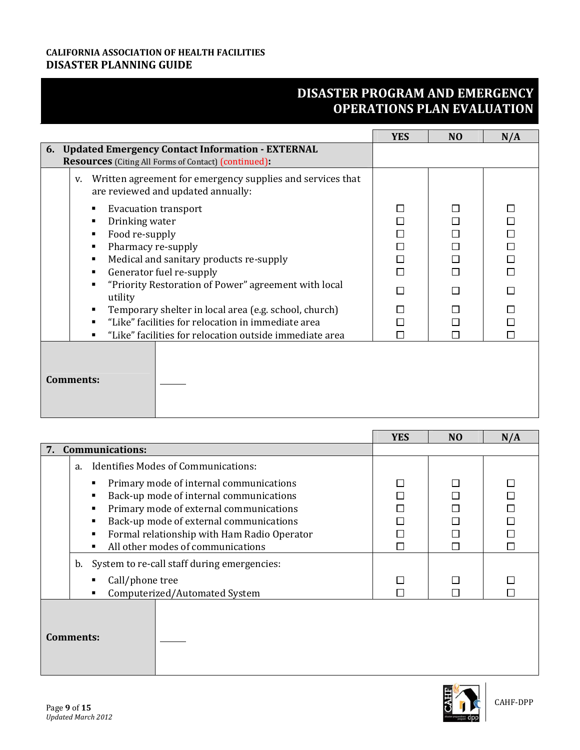|                                                                                                                                                                                                                                                                                                         | <b>YES</b>       | N <sub>O</sub> | N/A                                                      |
|---------------------------------------------------------------------------------------------------------------------------------------------------------------------------------------------------------------------------------------------------------------------------------------------------------|------------------|----------------|----------------------------------------------------------|
| 6. Updated Emergency Contact Information - EXTERNAL<br><b>Resources</b> (Citing All Forms of Contact) (continued):                                                                                                                                                                                      |                  |                |                                                          |
| Written agreement for emergency supplies and services that<br>V.<br>are reviewed and updated annually:                                                                                                                                                                                                  |                  |                |                                                          |
| <b>Evacuation transport</b><br>Drinking water<br>Food re-supply<br>Pharmacy re-supply<br>٠<br>Medical and sanitary products re-supply<br>٠<br>Generator fuel re-supply<br>٠<br>"Priority Restoration of Power" agreement with local<br>utility<br>Temporary shelter in local area (e.g. school, church) | П<br>П<br>П<br>П |                | $\Box$<br>$\Box$<br>$\Box$<br>$\Box$<br>$\Box$<br>П<br>П |
| "Like" facilities for relocation in immediate area                                                                                                                                                                                                                                                      |                  |                | П                                                        |
| "Like" facilities for relocation outside immediate area<br>٠                                                                                                                                                                                                                                            |                  |                |                                                          |
| <b>Comments:</b>                                                                                                                                                                                                                                                                                        |                  |                |                                                          |

|                  |                                                                                                                                                                                                                                                              | <b>YES</b> | N <sub>O</sub> | N/A |
|------------------|--------------------------------------------------------------------------------------------------------------------------------------------------------------------------------------------------------------------------------------------------------------|------------|----------------|-----|
|                  | 7. Communications:                                                                                                                                                                                                                                           |            |                |     |
|                  | Identifies Modes of Communications:<br>a.                                                                                                                                                                                                                    |            |                |     |
|                  | Primary mode of internal communications<br>Back-up mode of internal communications<br>Primary mode of external communications<br>Back-up mode of external communications<br>Formal relationship with Ham Radio Operator<br>All other modes of communications |            |                |     |
|                  | b. System to re-call staff during emergencies:<br>Call/phone tree<br>Computerized/Automated System                                                                                                                                                           |            |                |     |
| <b>Comments:</b> |                                                                                                                                                                                                                                                              |            |                |     |

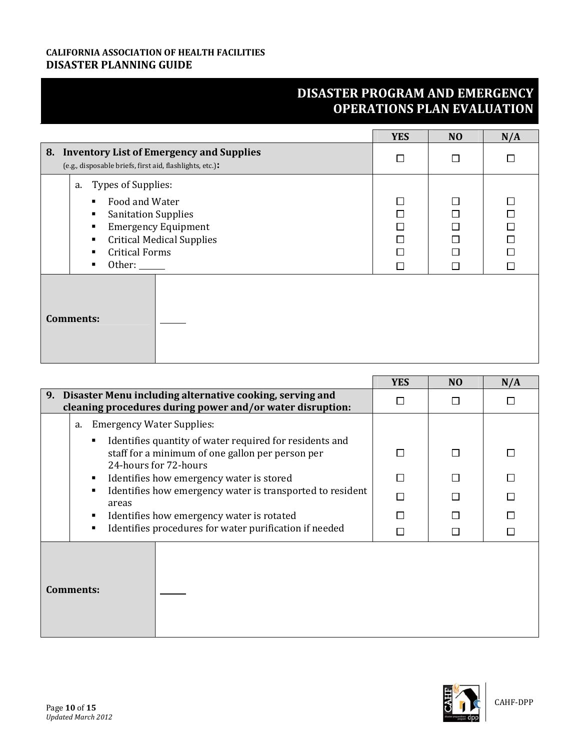|                                                                                                                                                                                                     | <b>YES</b> | N <sub>O</sub> | N/A                                                      |
|-----------------------------------------------------------------------------------------------------------------------------------------------------------------------------------------------------|------------|----------------|----------------------------------------------------------|
| 8. Inventory List of Emergency and Supplies<br>(e.g., disposable briefs, first aid, flashlights, etc.):                                                                                             | П          | П              | $\Box$                                                   |
| a. Types of Supplies:<br>Food and Water<br>٠<br><b>Sanitation Supplies</b><br>٠<br><b>Emergency Equipment</b><br>٠<br><b>Critical Medical Supplies</b><br>٠<br><b>Critical Forms</b><br>Other:<br>٠ | П          |                | $\Box$<br>$\Box$<br>$\Box$<br>$\Box$<br>$\Box$<br>$\Box$ |
| <b>Comments:</b>                                                                                                                                                                                    |            |                |                                                          |

|                                                                                                                                           | <b>YES</b> | N <sub>O</sub> | N/A |
|-------------------------------------------------------------------------------------------------------------------------------------------|------------|----------------|-----|
| 9. Disaster Menu including alternative cooking, serving and<br>cleaning procedures during power and/or water disruption:                  |            |                |     |
| <b>Emergency Water Supplies:</b><br>a.                                                                                                    |            |                |     |
| Identifies quantity of water required for residents and<br>٠<br>staff for a minimum of one gallon per person per<br>24-hours for 72-hours |            |                |     |
| Identifies how emergency water is stored<br>٠                                                                                             |            |                |     |
| Identifies how emergency water is transported to resident<br>$\blacksquare$<br>areas                                                      |            |                |     |
| Identifies how emergency water is rotated<br>٠                                                                                            |            |                |     |
| Identifies procedures for water purification if needed<br>٠                                                                               |            |                |     |
| <b>Comments:</b>                                                                                                                          |            |                |     |

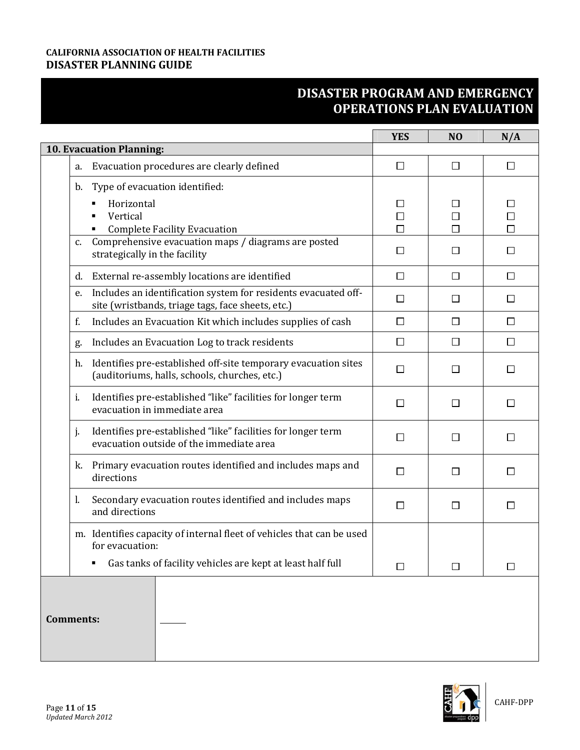|                                                                                                                           | <b>YES</b>  | N <sub>O</sub> | N/A              |
|---------------------------------------------------------------------------------------------------------------------------|-------------|----------------|------------------|
| 10. Evacuation Planning:                                                                                                  |             |                |                  |
| Evacuation procedures are clearly defined<br>a.                                                                           | □           | □              | $\Box$           |
| Type of evacuation identified:<br>b.<br>Horizontal<br>Vertical                                                            | П<br>$\Box$ |                | $\Box$<br>$\Box$ |
| <b>Complete Facility Evacuation</b><br>٠                                                                                  | П           | П              | $\Box$           |
| Comprehensive evacuation maps / diagrams are posted<br>c.<br>strategically in the facility                                | $\Box$      | Ħ              | $\Box$           |
| External re-assembly locations are identified<br>d.                                                                       | $\Box$      | $\Box$         | $\Box$           |
| Includes an identification system for residents evacuated off-<br>e.<br>site (wristbands, triage tags, face sheets, etc.) | $\Box$      | $\Box$         | □                |
| f.<br>Includes an Evacuation Kit which includes supplies of cash                                                          | $\Box$      | $\Box$         | □                |
| Includes an Evacuation Log to track residents<br>g.                                                                       | □           | □              | $\Box$           |
| Identifies pre-established off-site temporary evacuation sites<br>h.<br>(auditoriums, halls, schools, churches, etc.)     | $\Box$      | $\mathsf{L}$   | □                |
| Identifies pre-established "like" facilities for longer term<br>i.<br>evacuation in immediate area                        | П           | П              | $\Box$           |
| Identifies pre-established "like" facilities for longer term<br>j.<br>evacuation outside of the immediate area            | П           | П              | □                |
| Primary evacuation routes identified and includes maps and<br>k.<br>directions                                            | П           | ΙI             | □                |
| Secondary evacuation routes identified and includes maps<br>1.<br>and directions                                          | П           | П              | $\Box$           |
| m. Identifies capacity of internal fleet of vehicles that can be used<br>for evacuation:                                  |             |                |                  |
| Gas tanks of facility vehicles are kept at least half full                                                                | □           | □              | $\Box$           |
| <b>Comments:</b>                                                                                                          |             |                |                  |

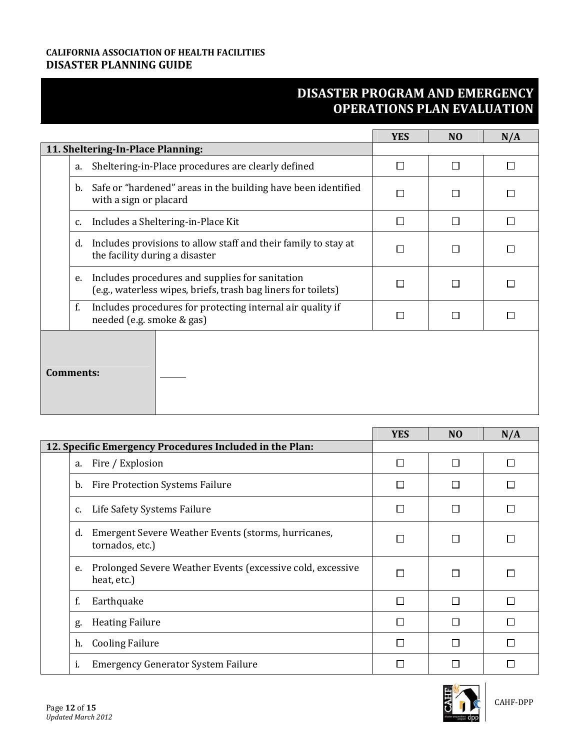|                                                                                                                        | <b>YES</b> | N <sub>O</sub> | N/A |
|------------------------------------------------------------------------------------------------------------------------|------------|----------------|-----|
| 11. Sheltering-In-Place Planning:                                                                                      |            |                |     |
| Sheltering-in-Place procedures are clearly defined<br>a.                                                               | П          | П              | П   |
| Safe or "hardened" areas in the building have been identified<br>b.<br>with a sign or placard                          | П          |                | П   |
| Includes a Sheltering-in-Place Kit<br>c.                                                                               | П          |                | □   |
| Includes provisions to allow staff and their family to stay at<br>d.<br>the facility during a disaster                 | П          |                | П   |
| Includes procedures and supplies for sanitation<br>e.<br>(e.g., waterless wipes, briefs, trash bag liners for toilets) | П          |                | П   |
| f.<br>Includes procedures for protecting internal air quality if<br>needed (e.g. smoke & gas)                          | $\perp$    |                | П   |
| Comments:                                                                                                              |            |                |     |

|                                                                                 | <b>YES</b>     | N <sub>O</sub> | N/A    |
|---------------------------------------------------------------------------------|----------------|----------------|--------|
| 12. Specific Emergency Procedures Included in the Plan:                         |                |                |        |
| Fire / Explosion<br>a.                                                          | $\overline{a}$ | ⊓              | $\Box$ |
| Fire Protection Systems Failure<br>b.                                           |                |                | $\Box$ |
| Life Safety Systems Failure<br>c.                                               | $\mathbf{L}$   |                | $\Box$ |
| Emergent Severe Weather Events (storms, hurricanes,<br>d.<br>tornados, etc.)    |                |                | L      |
| Prolonged Severe Weather Events (excessive cold, excessive<br>e.<br>heat, etc.) |                |                |        |
| Earthquake<br>f.                                                                | П              | П              | П      |
| <b>Heating Failure</b><br>g.                                                    | $\Box$         |                | П      |
| <b>Cooling Failure</b><br>h.                                                    |                |                | П      |
| i.<br><b>Emergency Generator System Failure</b>                                 |                |                |        |

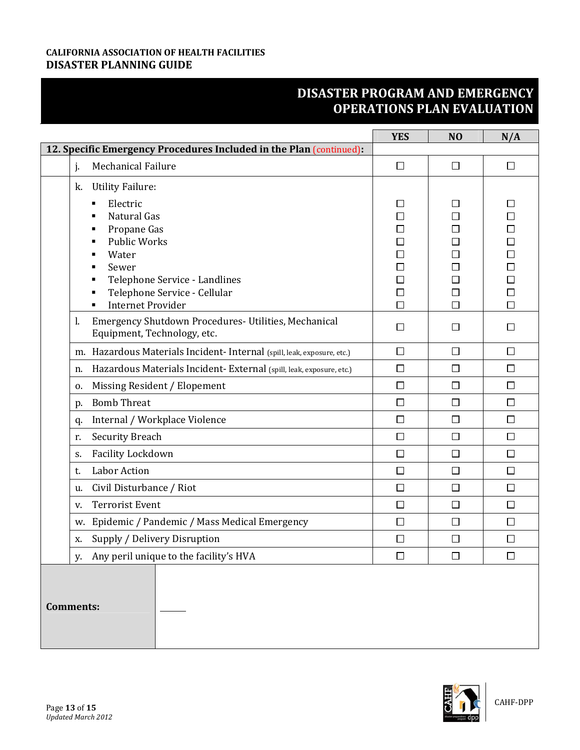|                                                                                                                                                                                   | <b>YES</b>                                                                         | N <sub>O</sub>        | N/A                                                                                    |
|-----------------------------------------------------------------------------------------------------------------------------------------------------------------------------------|------------------------------------------------------------------------------------|-----------------------|----------------------------------------------------------------------------------------|
| 12. Specific Emergency Procedures Included in the Plan (continued):                                                                                                               |                                                                                    |                       |                                                                                        |
| Mechanical Failure<br>j.                                                                                                                                                          | $\Box$                                                                             | $\Box$                | $\Box$                                                                                 |
| <b>Utility Failure:</b><br>k.                                                                                                                                                     |                                                                                    |                       |                                                                                        |
| Electric<br>Natural Gas<br>Propane Gas<br>٠<br><b>Public Works</b><br>Water<br>Sewer<br>Telephone Service - Landlines<br>Telephone Service - Cellular<br><b>Internet Provider</b> | $\mathsf{L}$<br>П<br>$\Box$<br>$\Box$<br>$\Box$<br>$\Box$<br>$\Box$<br>$\Box$<br>□ | П<br>П<br>$\Box$<br>П | $\Box$<br>$\Box$<br>$\Box$<br>$\Box$<br>$\Box$<br>$\Box$<br>$\Box$<br>$\Box$<br>$\Box$ |
| Emergency Shutdown Procedures- Utilities, Mechanical<br>1.<br>Equipment, Technology, etc.                                                                                         | $\Box$                                                                             | П                     | □                                                                                      |
| Hazardous Materials Incident- Internal (spill, leak, exposure, etc.)<br>m.                                                                                                        | $\Box$                                                                             | $\Box$                | $\Box$                                                                                 |
| Hazardous Materials Incident-External (spill, leak, exposure, etc.)<br>n.                                                                                                         | $\Box$                                                                             | $\Box$                | $\Box$                                                                                 |
| Missing Resident / Elopement<br>0.                                                                                                                                                | $\Box$                                                                             | □                     | $\Box$                                                                                 |
| <b>Bomb Threat</b><br>p.                                                                                                                                                          | $\Box$                                                                             | $\Box$                | $\Box$                                                                                 |
| Internal / Workplace Violence<br>q.                                                                                                                                               | $\Box$                                                                             | $\Box$                | $\Box$                                                                                 |
| <b>Security Breach</b><br>r.                                                                                                                                                      | $\Box$                                                                             | □                     | $\Box$                                                                                 |
| Facility Lockdown<br>S.                                                                                                                                                           | $\Box$                                                                             | $\Box$                | $\Box$                                                                                 |
| Labor Action<br>t.                                                                                                                                                                | $\Box$                                                                             | $\Box$                | $\Box$                                                                                 |
| Civil Disturbance / Riot<br>u.                                                                                                                                                    | $\Box$                                                                             | $\Box$                | $\Box$                                                                                 |
| <b>Terrorist Event</b><br>v.                                                                                                                                                      | $\Box$                                                                             | $\Box$                | $\Box$                                                                                 |
| Epidemic / Pandemic / Mass Medical Emergency<br>w.                                                                                                                                | $\Box$                                                                             | $\Box$                | $\Box$                                                                                 |
| Supply / Delivery Disruption<br>x.                                                                                                                                                | $\Box$                                                                             | $\Box$                | $\Box$                                                                                 |
| y. Any peril unique to the facility's HVA                                                                                                                                         | $\Box$                                                                             | $\Box$                | $\Box$                                                                                 |
| <b>Comments:</b>                                                                                                                                                                  |                                                                                    |                       |                                                                                        |

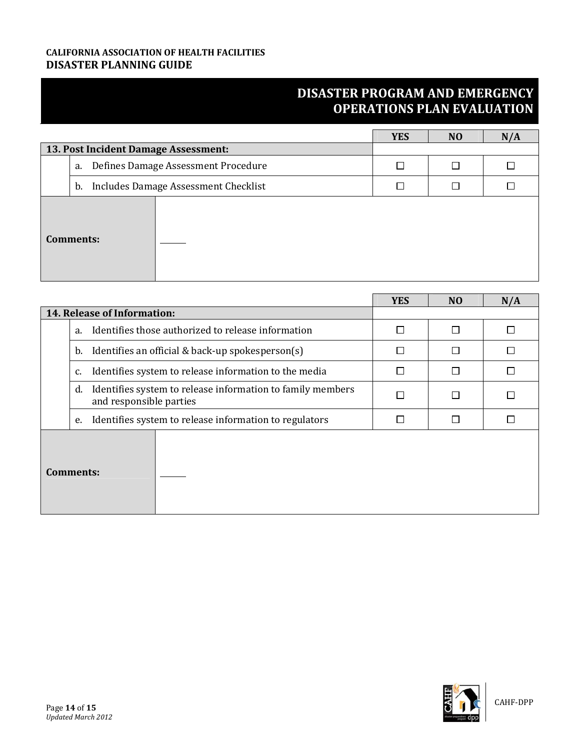|                                           | <b>YES</b> | N <sub>O</sub> | N/A |
|-------------------------------------------|------------|----------------|-----|
| 13. Post Incident Damage Assessment:      |            |                |     |
| Defines Damage Assessment Procedure<br>a. |            | П              |     |
| b. Includes Damage Assessment Checklist   |            |                |     |
| <b>Comments:</b>                          |            |                |     |

|           |                                                                                             | <b>YES</b> | N <sub>0</sub> | N/A |
|-----------|---------------------------------------------------------------------------------------------|------------|----------------|-----|
|           | 14. Release of Information:                                                                 |            |                |     |
|           | Identifies those authorized to release information<br>a.                                    | П          | П              |     |
|           | Identifies an official & back-up spokesperson(s)<br>b.                                      | П          |                |     |
|           | Identifies system to release information to the media<br>c.                                 | П          | П              |     |
|           | Identifies system to release information to family members<br>d.<br>and responsible parties | П          | $\mathsf{L}$   |     |
|           | Identifies system to release information to regulators<br>e.                                | П          | П              |     |
| Comments: |                                                                                             |            |                |     |